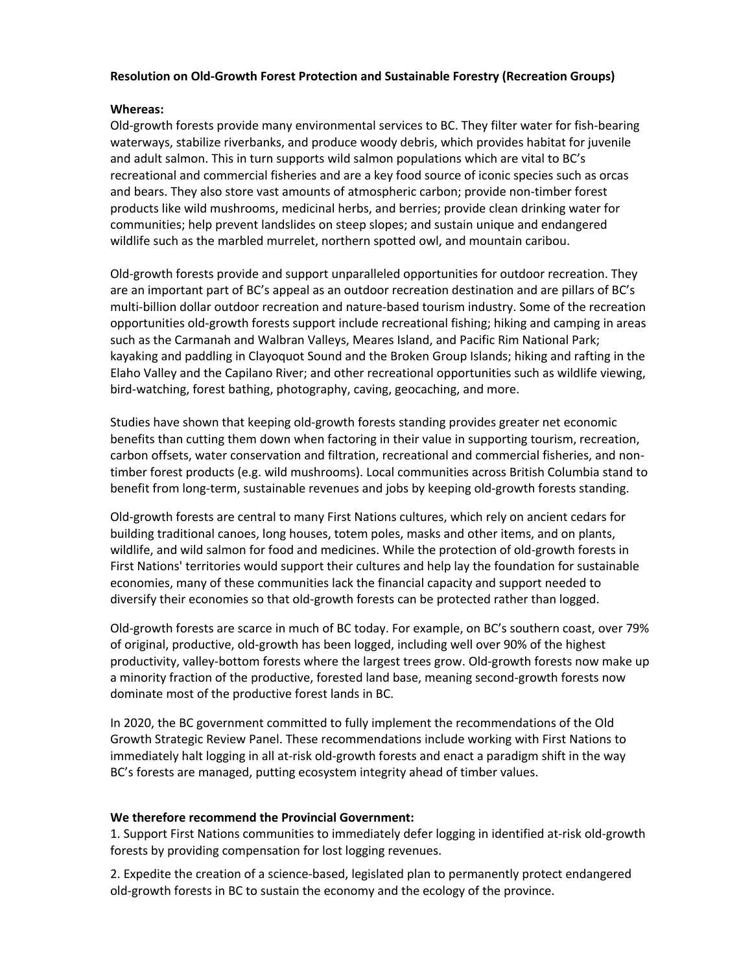## **Resolution on Old-Growth Forest Protection and Sustainable Forestry (Recreation Groups)**

## **Whereas:**

Old-growth forests provide many environmental services to BC. They filter water for fish-bearing waterways, stabilize riverbanks, and produce woody debris, which provides habitat for juvenile and adult salmon. This in turn supports wild salmon populations which are vital to BC's recreational and commercial fisheries and are a key food source of iconic species such as orcas and bears. They also store vast amounts of atmospheric carbon; provide non-timber forest products like wild mushrooms, medicinal herbs, and berries; provide clean drinking water for communities; help prevent landslides on steep slopes; and sustain unique and endangered wildlife such as the marbled murrelet, northern spotted owl, and mountain caribou.

Old-growth forests provide and support unparalleled opportunities for outdoor recreation. They are an important part of BC's appeal as an outdoor recreation destination and are pillars of BC's multi-billion dollar outdoor recreation and nature-based tourism industry. Some of the recreation opportunities old-growth forests support include recreational fishing; hiking and camping in areas such as the Carmanah and Walbran Valleys, Meares Island, and Pacific Rim National Park; kayaking and paddling in Clayoquot Sound and the Broken Group Islands; hiking and rafting in the Elaho Valley and the Capilano River; and other recreational opportunities such as wildlife viewing, bird-watching, forest bathing, photography, caving, geocaching, and more.

Studies have shown that keeping old-growth forests standing provides greater net economic benefits than cutting them down when factoring in their value in supporting tourism, recreation, carbon offsets, water conservation and filtration, recreational and commercial fisheries, and nontimber forest products (e.g. wild mushrooms). Local communities across British Columbia stand to benefit from long-term, sustainable revenues and jobs by keeping old-growth forests standing.

Old-growth forests are central to many First Nations cultures, which rely on ancient cedars for building traditional canoes, long houses, totem poles, masks and other items, and on plants, wildlife, and wild salmon for food and medicines. While the protection of old-growth forests in First Nations' territories would support their cultures and help lay the foundation for sustainable economies, many of these communities lack the financial capacity and support needed to diversify their economies so that old-growth forests can be protected rather than logged.

Old-growth forests are scarce in much of BC today. For example, on BC's southern coast, over 79% of original, productive, old-growth has been logged, including well over 90% of the highest productivity, valley-bottom forests where the largest trees grow. Old-growth forests now make up a minority fraction of the productive, forested land base, meaning second-growth forests now dominate most of the productive forest lands in BC.

In 2020, the BC government committed to fully implement the recommendations of the Old Growth Strategic Review Panel. These recommendations include working with First Nations to immediately halt logging in all at-risk old-growth forests and enact a paradigm shift in the way BC's forests are managed, putting ecosystem integrity ahead of timber values.

## **We therefore recommend the Provincial Government:**

1. Support First Nations communities to immediately defer logging in identified at-risk old-growth forests by providing compensation for lost logging revenues.

2. Expedite the creation of a science-based, legislated plan to permanently protect endangered old-growth forests in BC to sustain the economy and the ecology of the province.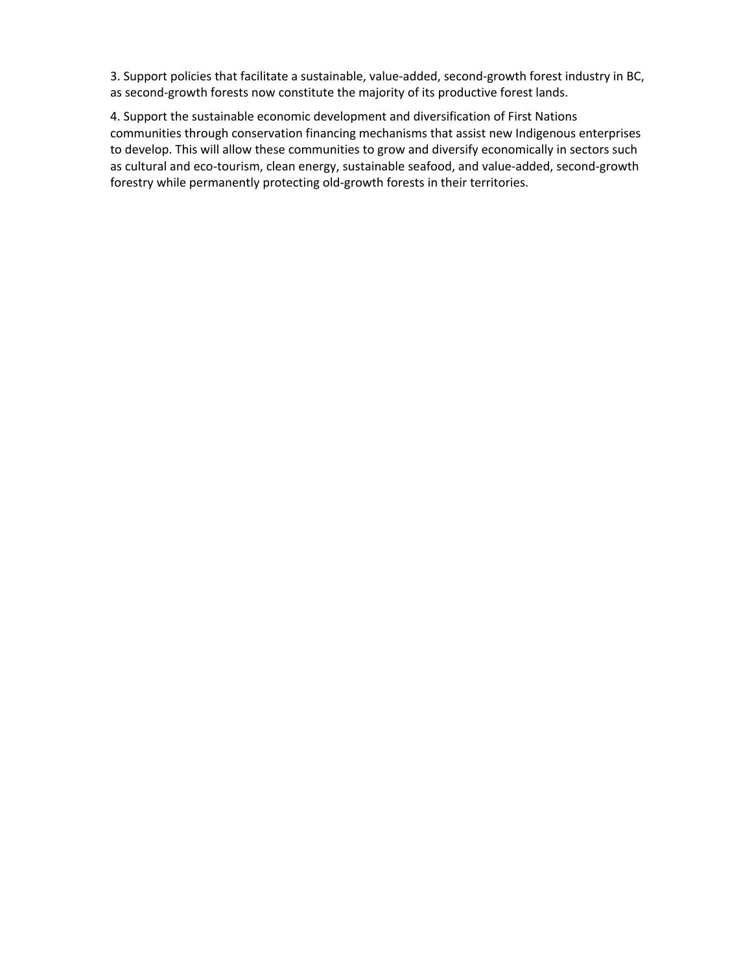3. Support policies that facilitate a sustainable, value-added, second-growth forest industry in BC, as second-growth forests now constitute the majority of its productive forest lands.

4. Support the sustainable economic development and diversification of First Nations communities through conservation financing mechanisms that assist new Indigenous enterprises to develop. This will allow these communities to grow and diversify economically in sectors such as cultural and eco-tourism, clean energy, sustainable seafood, and value-added, second-growth forestry while permanently protecting old-growth forests in their territories.